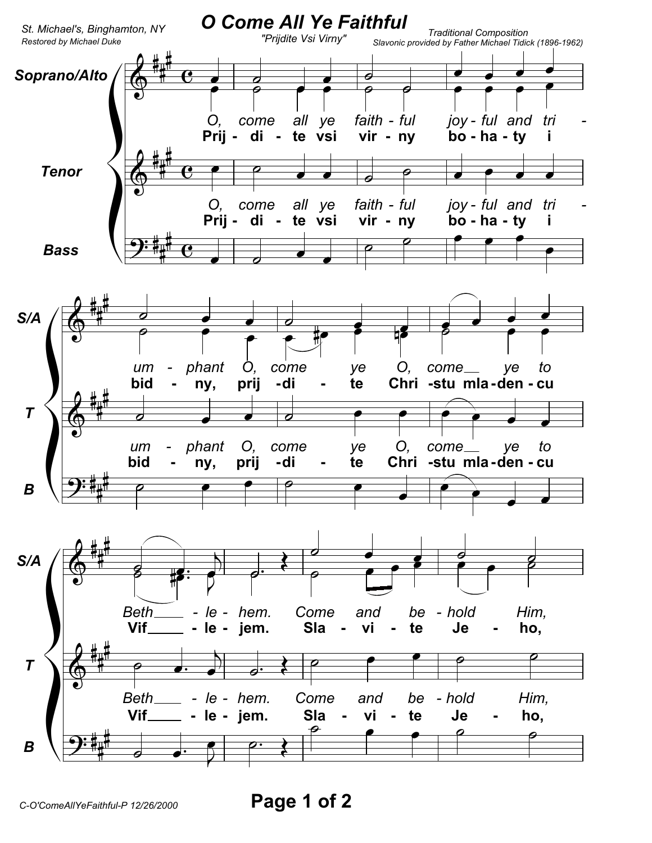

Page 1 of 2